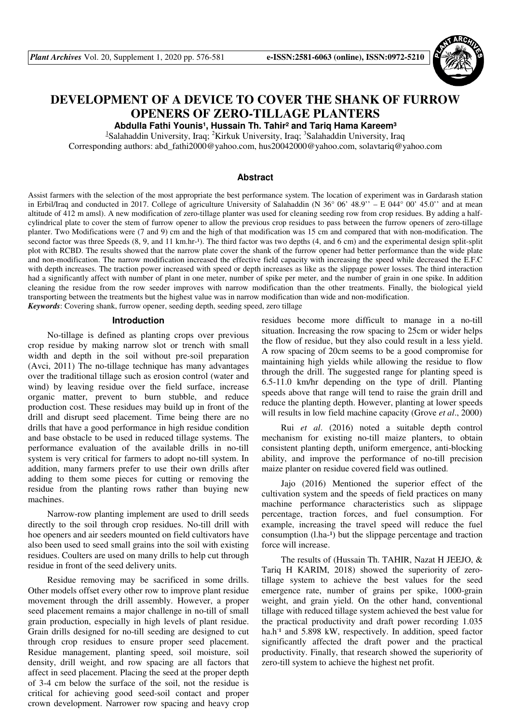

# **DEVELOPMENT OF A DEVICE TO COVER THE SHANK OF FURROW OPENERS OF ZERO-TILLAGE PLANTERS**

Abdulla Fathi Younis<sup>1</sup>, Hussain Th. Tahir<sup>2</sup> and Tariq Hama Kareem<sup>3</sup>

<sup>1</sup>Salahaddin University, Iraq; <sup>2</sup>Kirkuk University, Iraq; <sup>3</sup>Salahaddin University, Iraq Corresponding authors: abd\_fathi2000@yahoo.com, hus20042000@yahoo.com, solavtariq@yahoo.com

# **Abstract**

Assist farmers with the selection of the most appropriate the best performance system. The location of experiment was in Gardarash station in Erbil/Iraq and conducted in 2017. College of agriculture University of Salahaddin (N 36° 06' 48.9'' – E 044° 00' 45.0'' and at mean altitude of 412 m amsl). A new modification of zero-tillage planter was used for cleaning seeding row from crop residues. By adding a halfcylindrical plate to cover the stem of furrow opener to allow the previous crop residues to pass between the furrow openers of zero-tillage planter. Two Modifications were (7 and 9) cm and the high of that modification was 15 cm and compared that with non-modification. The second factor was three Speeds  $(8, 9,$  and  $11 \text{ km/hr-1})$ . The third factor was two depths  $(4,$  and  $6 \text{ cm})$  and the experimental design split-split plot with RCBD. The results showed that the narrow plate cover the shank of the furrow opener had better performance than the wide plate and non-modification. The narrow modification increased the effective field capacity with increasing the speed while decreased the E.F.C with depth increases. The traction power increased with speed or depth increases as like as the slippage power losses. The third interaction had a significantly affect with number of plant in one meter, number of spike per meter, and the number of grain in one spike. In addition cleaning the residue from the row seeder improves with narrow modification than the other treatments. Finally, the biological yield transporting between the treatments but the highest value was in narrow modification than wide and non-modification. *Keywords*: Covering shank, furrow opener, seeding depth, seeding speed, zero tillage

#### **Introduction**

No-tillage is defined as planting crops over previous crop residue by making narrow slot or trench with small width and depth in the soil without pre-soil preparation (Avci, 2011) The no-tillage technique has many advantages over the traditional tillage such as erosion control (water and wind) by leaving residue over the field surface, increase organic matter, prevent to burn stubble, and reduce production cost. These residues may build up in front of the drill and disrupt seed placement. Time being there are no drills that have a good performance in high residue condition and base obstacle to be used in reduced tillage systems. The performance evaluation of the available drills in no-till system is very critical for farmers to adopt no-till system. In addition, many farmers prefer to use their own drills after adding to them some pieces for cutting or removing the residue from the planting rows rather than buying new machines.

Narrow-row planting implement are used to drill seeds directly to the soil through crop residues. No-till drill with hoe openers and air seeders mounted on field cultivators have also been used to seed small grains into the soil with existing residues. Coulters are used on many drills to help cut through residue in front of the seed delivery units.

Residue removing may be sacrificed in some drills. Other models offset every other row to improve plant residue movement through the drill assembly. However, a proper seed placement remains a major challenge in no-till of small grain production, especially in high levels of plant residue. Grain drills designed for no-till seeding are designed to cut through crop residues to ensure proper seed placement. Residue management, planting speed, soil moisture, soil density, drill weight, and row spacing are all factors that affect in seed placement. Placing the seed at the proper depth of 3-4 cm below the surface of the soil, not the residue is critical for achieving good seed-soil contact and proper crown development. Narrower row spacing and heavy crop residues become more difficult to manage in a no-till situation. Increasing the row spacing to 25cm or wider helps the flow of residue, but they also could result in a less yield. A row spacing of 20cm seems to be a good compromise for maintaining high yields while allowing the residue to flow through the drill. The suggested range for planting speed is 6.5-11.0 km/hr depending on the type of drill. Planting speeds above that range will tend to raise the grain drill and reduce the planting depth. However, planting at lower speeds will results in low field machine capacity (Grove *et al*., 2000)

Rui *et al*. (2016) noted a suitable depth control mechanism for existing no-till maize planters, to obtain consistent planting depth, uniform emergence, anti-blocking ability, and improve the performance of no-till precision maize planter on residue covered field was outlined.

Jajo (2016) Mentioned the superior effect of the cultivation system and the speeds of field practices on many machine performance characteristics such as slippage percentage, traction forces, and fuel consumption. For example, increasing the travel speed will reduce the fuel consumption  $(l.ha^{-1})$  but the slippage percentage and traction force will increase.

The results of (Hussain Th. TAHIR, Nazat H JEEJO, & Tariq H KARIM, 2018) showed the superiority of zerotillage system to achieve the best values for the seed emergence rate, number of grains per spike, 1000-grain weight, and grain yield. On the other hand, conventional tillage with reduced tillage system achieved the best value for the practical productivity and draft power recording 1.035 ha.h<sup>-1</sup> and 5.898 kW, respectively. In addition, speed factor significantly affected the draft power and the practical productivity. Finally, that research showed the superiority of zero-till system to achieve the highest net profit.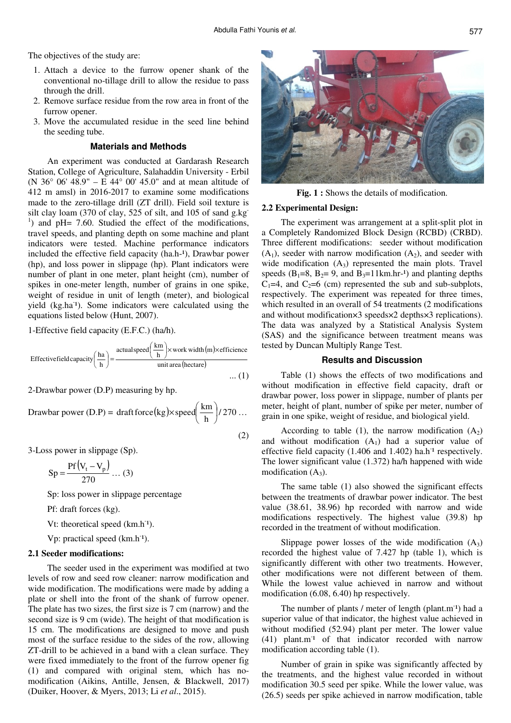(2)

The objectives of the study are:

- 1. Attach a device to the furrow opener shank of the conventional no-tillage drill to allow the residue to pass through the drill.
- 2. Remove surface residue from the row area in front of the furrow opener.
- 3. Move the accumulated residue in the seed line behind the seeding tube.

## **Materials and Methods**

An experiment was conducted at Gardarash Research Station, College of Agriculture, Salahaddin University - Erbil (N 36° 06' 48.9" – E 44° 00' 45.0" and at mean altitude of 412 m amsl) in 2016-2017 to examine some modifications made to the zero-tillage drill (ZT drill). Field soil texture is silt clay loam (370 of clay, 525 of silt, and 105 of sand g.kg-<sup>1</sup>) and pH= 7.60. Studied the effect of the modifications, travel speeds, and planting depth on some machine and plant indicators were tested. Machine performance indicators included the effective field capacity (ha.h-1), Drawbar power (hp), and loss power in slippage (hp). Plant indicators were number of plant in one meter, plant height (cm), number of spikes in one-meter length, number of grains in one spike, weight of residue in unit of length (meter), and biological yield (kg.ha<sup>-1</sup>). Some indicators were calculated using the equations listed below (Hunt, 2007).

1-Effective field capacity (E.F.C.) (ha/h).

Effectivefield capacity 
$$
\left(\frac{\text{ha}}{\text{h}}\right)
$$
 =  $\frac{\text{actualspeed}\left(\frac{\text{km}}{\text{h}}\right) \times \text{work width (m) \times efficiency}}{\text{unit area (hectare)}}$  ... (1)

2-Drawbar power (D.P) measuring by hp.

Drawbar power (D.P) = draft force (kg) $\times$  speed $\left(\frac{\text{km}}{\text{h}}\right)$ /270 draft force (kg) $\times$  speed $\left(\frac{\text{km}}{1}\right)$ J  $\left(\frac{\text{km}}{\cdot}\right)$ l  $\times$  speed  $\left(\frac{\text{km}}{1}\right)/270...$ 

3-Loss power in slippage (Sp).

$$
Sp = \frac{Pf(V_t - V_p)}{270} \dots (3)
$$

Sp: loss power in slippage percentage

Pf: draft forces (kg).

Vt: theoretical speed (km.h<sup>-1</sup>).

Vp: practical speed (km.h<sup>-1</sup>).

# **2.1 Seeder modifications:**

The seeder used in the experiment was modified at two levels of row and seed row cleaner: narrow modification and wide modification. The modifications were made by adding a plate or shell into the front of the shank of furrow opener. The plate has two sizes, the first size is 7 cm (narrow) and the second size is 9 cm (wide). The height of that modification is 15 cm. The modifications are designed to move and push most of the surface residue to the sides of the row, allowing ZT-drill to be achieved in a band with a clean surface. They were fixed immediately to the front of the furrow opener fig (1) and compared with original stem, which has nomodification (Aikins, Antille, Jensen, & Blackwell, 2017) (Duiker, Hoover, & Myers, 2013; Li *et al*., 2015).



**Fig. 1 :** Shows the details of modification.

### **2.2 Experimental Design:**

The experiment was arrangement at a split-split plot in a Completely Randomized Block Design (RCBD) (CRBD). Three different modifications: seeder without modification  $(A_1)$ , seeder with narrow modification  $(A_2)$ , and seeder with wide modification  $(A_3)$  represented the main plots. Travel speeds ( $B_1=8$ ,  $B_2=9$ , and  $B_3=11$ km.hr-<sup>1</sup>) and planting depths  $C_1=4$ , and  $C_2=6$  (cm) represented the sub and sub-subplots, respectively. The experiment was repeated for three times, which resulted in an overall of 54 treatments (2 modifications and without modification×3 speeds×2 depths×3 replications). The data was analyzed by a Statistical Analysis System (SAS) and the significance between treatment means was tested by Duncan Multiply Range Test.

# **Results and Discussion**

Table (1) shows the effects of two modifications and without modification in effective field capacity, draft or drawbar power, loss power in slippage, number of plants per meter, height of plant, number of spike per meter, number of grain in one spike, weight of residue, and biological yield.

According to table (1), the narrow modification  $(A_2)$ and without modification  $(A_1)$  had a superior value of effective field capacity (1.406 and 1.402) ha.h<sup>-1</sup> respectively. The lower significant value (1.372) ha/h happened with wide modification  $(A_3)$ .

The same table (1) also showed the significant effects between the treatments of drawbar power indicator. The best value (38.61, 38.96) hp recorded with narrow and wide modifications respectively. The highest value (39.8) hp recorded in the treatment of without modification.

Slippage power losses of the wide modification  $(A_3)$ recorded the highest value of 7.427 hp (table 1), which is significantly different with other two treatments. However, other modifications were not different between of them. While the lowest value achieved in narrow and without modification (6.08, 6.40) hp respectively.

The number of plants / meter of length (plant.m<sup>-1</sup>) had a superior value of that indicator, the highest value achieved in without modified (52.94) plant per meter. The lower value (41) plant.m<sup>-1</sup> of that indicator recorded with narrow modification according table (1).

Number of grain in spike was significantly affected by the treatments, and the highest value recorded in without modification 30.5 seed per spike. While the lower value, was (26.5) seeds per spike achieved in narrow modification, table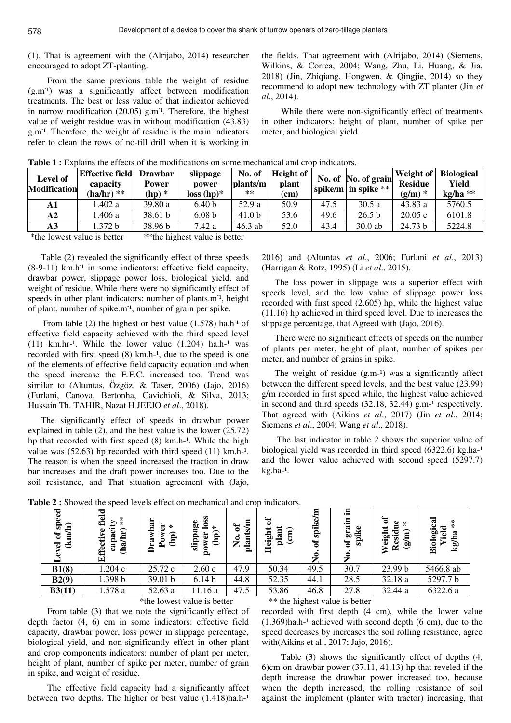(1). That is agreement with the (Alrijabo, 2014) researcher encouraged to adopt ZT-planting.

From the same previous table the weight of residue (g.m<sup>-1</sup>) was a significantly affect between modification treatments. The best or less value of that indicator achieved in narrow modification  $(20.05)$  g.m<sup>-1</sup>. Therefore, the highest value of weight residue was in without modification (43.83) g.m- ¹. Therefore, the weight of residue is the main indicators refer to clean the rows of no-till drill when it is working in

the fields. That agreement with (Alrijabo, 2014) (Siemens, Wilkins, & Correa, 2004; Wang, Zhu, Li, Huang, & Jia, 2018) (Jin, Zhiqiang, Hongwen, & Qingjie, 2014) so they recommend to adopt new technology with ZT planter (Jin *et al*., 2014).

While there were non-significantly effect of treatments in other indicators: height of plant, number of spike per meter, and biological yield.

| Level of<br><b>Modification</b> | Effective field<br>capacity<br>$(ha/hr)$ ** | <b>Drawbar</b><br>Power<br>$(hp)$ * | slippage<br>power<br>$loss(hp)*$ | No. of<br> plants/m<br>$***$ | Height of<br>plant<br>$\rm \left( cm\right)$ |      | No. of No. of grain<br>$\vert$ spike/m $\vert$ in spike $**$ | Weight of<br><b>Residue</b><br>$(g/m)*$ | <b>Biological</b><br>Yield<br>$kg/ha **$ |
|---------------------------------|---------------------------------------------|-------------------------------------|----------------------------------|------------------------------|----------------------------------------------|------|--------------------------------------------------------------|-----------------------------------------|------------------------------------------|
| A1                              | .402 a                                      | 39.80a                              | 6.40 <sub>b</sub>                | 52.9 a                       | 50.9                                         | 47.5 | 30.5 a                                                       | 43.83a                                  | 5760.5                                   |
| $\mathbf{A2}$                   | .406 a                                      | 38.61 b                             | 6.08 <sub>b</sub>                | 41.0 <sub>b</sub>            | 53.6                                         | 49.6 | 26.5 <sub>b</sub>                                            | 20.05c                                  | 6101.8                                   |
| A3                              | 1.372 b                                     | 38.96 <sub>b</sub>                  | 7.42 a                           | $46.3$ ab                    | 52.0                                         | 43.4 | $30.0$ ab                                                    | 24.73 b                                 | 5224.8                                   |

**Table 1 :** Explains the effects of the modifications on some mechanical and crop indicators.

\*the lowest value is better \*\*the highest value is better

Table (2) revealed the significantly effect of three speeds  $(8-9-11)$  km.h<sup>-1</sup> in some indicators: effective field capacity, drawbar power, slippage power loss, biological yield, and weight of residue. While there were no significantly effect of speeds in other plant indicators: number of plants.m<sup>-1</sup>, height of plant, number of spike.m<sup>-1</sup>, number of grain per spike.

From table (2) the highest or best value  $(1.578)$  ha.h<sup>-1</sup> of effective field capacity achieved with the third speed level  $(11)$  km.hr<sup>-1</sup>. While the lower value  $(1.204)$  ha.h<sup>-1</sup> was recorded with first speed  $(8)$  km.h-<sup>1</sup>, due to the speed is one of the elements of effective field capacity equation and when the speed increase the E.F.C. increased too. Trend was similar to (Altuntas, Özgöz, & Taser, 2006) (Jajo, 2016) (Furlani, Canova, Bertonha, Cavichioli, & Silva, 2013; Hussain Th. TAHIR, Nazat H JEEJO *et al*., 2018).

The significantly effect of speeds in drawbar power explained in table (2), and the best value is the lower (25.72) hp that recorded with first speed  $(8)$  km.h-<sup>1</sup>. While the high value was  $(52.63)$  hp recorded with third speed  $(11)$  km.h-<sup>1</sup>. The reason is when the speed increased the traction in draw bar increases and the draft power increases too. Due to the soil resistance, and That situation agreement with (Jajo,

2016) and (Altuntas *et al*., 2006; Furlani *et al*., 2013) (Harrigan & Rotz, 1995) (Li *et al*., 2015).

The loss power in slippage was a superior effect with speeds level, and the low value of slippage power loss recorded with first speed (2.605) hp, while the highest value (11.16) hp achieved in third speed level. Due to increases the slippage percentage, that Agreed with (Jajo, 2016).

There were no significant effects of speeds on the number of plants per meter, height of plant, number of spikes per meter, and number of grains in spike.

The weight of residue  $(g.m<sup>-1</sup>)$  was a significantly affect between the different speed levels, and the best value (23.99) g/m recorded in first speed while, the highest value achieved in second and third speeds  $(32.18, 32.44)$  g.m<sup>-1</sup> respectively. That agreed with (Aikins *et al*., 2017) (Jin *et al*., 2014; Siemens *et al*., 2004; Wang *et al*., 2018).

 The last indicator in table 2 shows the superior value of biological yield was recorded in third speed  $(6322.6)$  kg.ha-<sup>1</sup> and the lower value achieved with second speed (5297.7)  $kg.ha-1$ .

| ᇰ<br>Š<br>≘<br>$\mathbf{a}$<br>$(\text{km})$<br>$\overline{e}$ | field<br>$\mathbf{z}$<br>ω<br>capa<br>Effecti | $_{\ast}^*$<br><u>firi</u><br>ළි | wbar<br>∗<br>ē<br>$\mathbf{\widehat{g}}$<br>قم<br>Dra | SS<br>ge<br>₽<br>÷.<br>slippa<br>$\mathbf{\hat{q}}$<br>ä<br>pow | 팈<br>$\mathbf{a}$<br>ŵ<br>ant<br>$\epsilon$<br>ã | ัธ<br>Height<br>$\binom{1}{k}$<br>plant | m<br>spike<br>ัธ<br>$\dot{\mathbf{z}}$ | - 특<br>grain<br>spike<br>$\sigma$<br>$\tilde{\mathbf{z}}$ | ัธ<br>Φ<br>÷.<br>sidu<br>Weight<br>(g/m)<br>ت<br>R | Biological<br>₩<br>ᅙ<br>σ<br>.ම<br>g<br>↘<br>kg |
|----------------------------------------------------------------|-----------------------------------------------|----------------------------------|-------------------------------------------------------|-----------------------------------------------------------------|--------------------------------------------------|-----------------------------------------|----------------------------------------|-----------------------------------------------------------|----------------------------------------------------|-------------------------------------------------|
| B1(8)                                                          | 1.204 c                                       |                                  | 25.72 c                                               | 2.60c                                                           | 47.9                                             | 50.34                                   | 49.5                                   | 30.7                                                      | 23.99 b                                            | 5466.8 ab                                       |
| B2(9)                                                          | .398 b                                        |                                  | 39.01 b                                               | 6.14 <sub>b</sub>                                               | 44.8                                             | 52.35                                   | 44.1                                   | 28.5                                                      | 32.18 a                                            | 5297.7 b                                        |
| B3(11)                                                         | .578 a                                        |                                  | 52.63 a                                               | 11.16 a                                                         | 47.5                                             | 53.86                                   | 46.8                                   | 27.8                                                      | 32.44 a                                            | 6322.6 a                                        |
|                                                                | $-4$ $-1$ $-1$ $-1$ $-1$ $-1$                 |                                  |                                                       |                                                                 |                                                  |                                         |                                        | $-4$ $-4$ $-1$ $-1$ $-1$ $-1$ $-1$ $-1$ $-1$              |                                                    |                                                 |

Table 2 : Showed the speed levels effect on mechanical and crop indicators.

From table (3) that we note the significantly effect of depth factor (4, 6) cm in some indicators: effective field capacity, drawbar power, loss power in slippage percentage, biological yield, and non-significantly effect in other plant and crop components indicators: number of plant per meter, height of plant, number of spike per meter, number of grain in spike, and weight of residue.

The effective field capacity had a significantly affect between two depths. The higher or best value  $(1.418)$ ha.h- $^{1}$ 

\*the lowest value is better \*\*\* the highest value is better

recorded with first depth (4 cm), while the lower value  $(1.369)$ ha.h-<sup>1</sup> achieved with second depth  $(6 \text{ cm})$ , due to the speed decreases by increases the soil rolling resistance, agree with(Aikins et al., 2017; Jajo, 2016).

Table (3) shows the significantly effect of depths (4, 6)cm on drawbar power (37.11, 41.13) hp that reveled if the depth increase the drawbar power increased too, because when the depth increased, the rolling resistance of soil against the implement (planter with tractor) increasing, that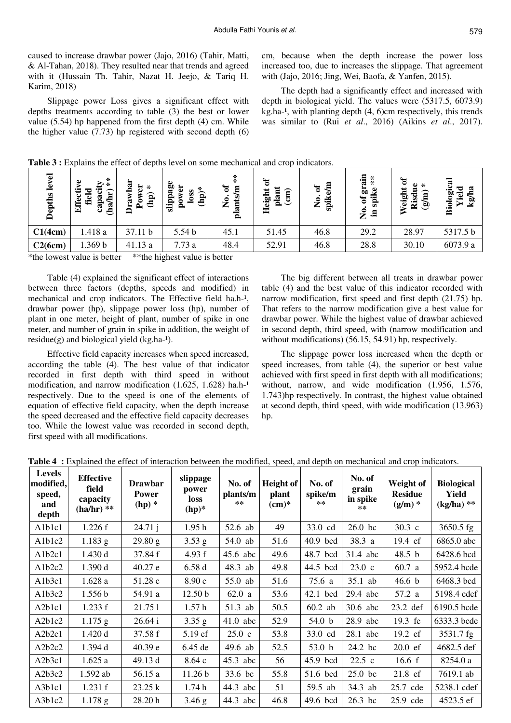caused to increase drawbar power (Jajo, 2016) (Tahir, Matti, & Al-Tahan, 2018). They resulted near that trends and agreed with it (Hussain Th. Tahir, Nazat H. Jeejo, & Tariq H. Karim, 2018)

Slippage power Loss gives a significant effect with depths treatments according to table (3) the best or lower value (5.54) hp happened from the first depth (4) cm. While the higher value (7.73) hp registered with second depth (6) cm, because when the depth increase the power loss increased too, due to increases the slippage. That agreement with (Jajo, 2016; Jing, Wei, Baofa, & Yanfen, 2015).

The depth had a significantly effect and increased with depth in biological yield. The values were (5317.5, 6073.9)  $kg.ha-1$ , with planting depth  $(4, 6)$ cm respectively, this trends was similar to (Rui *et al*., 2016) (Aikins *et al*., 2017).

Table 3 : Explains the effect of depths level on some mechanical and crop indicators.

| level<br>epths<br>≏ | $\frac{*}{*}$<br>ye<br>➣<br>Effecti<br>P<br><u>អា</u><br>fiel<br>e<br>S<br>ಡ<br>Ë | wba<br>ä<br>$\star$<br>$\mathbf{\widehat{H}}$<br>Б<br>$\mathbf{e}$<br>E | slippage<br>wer<br>$\mathbf{hp})^*$<br>S<br>$\tilde{\mathbf{S}}$<br>$\mathbf{g}$ | $\stackrel{*}{*}$<br>ð<br>$\mathbf{g}$<br>ants<br>$\tilde{\mathbf{z}}$<br>₫ | ቴ<br>plant<br>eight<br>$\binom{1}{2}$<br>모 | 트<br>ិ<br>spike<br>$\tilde{\mathbf{z}}$ | cia:<br>$\overset{*}{*}$<br>ä<br>spike<br>ð<br>$\tilde{\mathbf{z}}$<br>트. | $\ast$<br>ω<br>Veight<br>Ē<br>Risd<br>$\widehat{\mathbf{e}}$ | Biologic<br>ದ<br>ᇰ<br>Φ<br>۰.<br>§∑ |
|---------------------|-----------------------------------------------------------------------------------|-------------------------------------------------------------------------|----------------------------------------------------------------------------------|-----------------------------------------------------------------------------|--------------------------------------------|-----------------------------------------|---------------------------------------------------------------------------|--------------------------------------------------------------|-------------------------------------|
| C1(4cm)             | 1.418 a                                                                           | 37.11 b                                                                 | 5.54 b                                                                           | 45.1                                                                        | 51.45                                      | 46.8                                    | 29.2                                                                      | 28.97                                                        | 5317.5 b                            |
| C2(6cm)             | .369 <sub>b</sub>                                                                 | 41.13 a                                                                 | 7.73a                                                                            | 48.4                                                                        | 52.91                                      | 46.8                                    | 28.8                                                                      | 30.10                                                        | 6073.9 a                            |

\*the lowest value is better \*\*the highest value is better

Table (4) explained the significant effect of interactions between three factors (depths, speeds and modified) in mechanical and crop indicators. The Effective field ha.h-1, drawbar power (hp), slippage power loss (hp), number of plant in one meter, height of plant, number of spike in one meter, and number of grain in spike in addition, the weight of  $residue(g)$  and biological yield  $(kg.ha-1)$ .

Effective field capacity increases when speed increased, according the table (4). The best value of that indicator recorded in first depth with third speed in without modification, and narrow modification  $(1.625, 1.628)$  ha.h- $^{1}$ respectively. Due to the speed is one of the elements of equation of effective field capacity, when the depth increase the speed decreased and the effective field capacity decreases too. While the lowest value was recorded in second depth, first speed with all modifications.

The big different between all treats in drawbar power table (4) and the best value of this indicator recorded with narrow modification, first speed and first depth (21.75) hp. That refers to the narrow modification give a best value for drawbar power. While the highest value of drawbar achieved in second depth, third speed, with (narrow modification and without modifications) (56.15, 54.91) hp, respectively.

The slippage power loss increased when the depth or speed increases, from table (4), the superior or best value achieved with first speed in first depth with all modifications; without, narrow, and wide modification (1.956, 1.576, 1.743)hp respectively. In contrast, the highest value obtained at second depth, third speed, with wide modification (13.963) hp.

| <b>Levels</b><br>modified,<br>speed,<br>and<br>depth | <b>Effective</b><br>field<br>capacity<br>$(ha/hr)$ ** | <b>Drawbar</b><br><b>Power</b><br>$(hp)$ * | slippage<br>power<br><b>loss</b><br>$(hp)^*$ | No. of<br>plants/m<br>$***$ | <b>Height of</b><br>plant<br>$(cm)*$ | No. of<br>spike/m<br>** | No. of<br>grain<br>in spike<br>$***$ | Weight of<br><b>Residue</b><br>$(g/m)*$ | <b>Biological</b><br>Yield<br>$(kg/ha)$ ** |
|------------------------------------------------------|-------------------------------------------------------|--------------------------------------------|----------------------------------------------|-----------------------------|--------------------------------------|-------------------------|--------------------------------------|-----------------------------------------|--------------------------------------------|
| Alblc1                                               | 1.226f                                                | 24.71j                                     | 1.95h                                        | 52.6 ab                     | 49                                   | 33.0 cd                 | $26.0$ bc                            | $30.3 \text{ c}$                        | 3650.5 fg                                  |
| Alblc2                                               | $1.183$ g                                             | 29.80 g                                    | $3.53$ g                                     | 54.0 ab                     | 51.6                                 | 40.9 bcd                | 38.3 a                               | 19.4 ef                                 | 6865.0 abc                                 |
| A <sub>1</sub> b <sub>2c</sub> 1                     | 1.430d                                                | 37.84 f                                    | 4.93 f                                       | 45.6 abc                    | 49.6                                 | 48.7 bcd                | 31.4 abc                             | 48.5 b                                  | 6428.6 bcd                                 |
| Alb2c2                                               | 1.390 d                                               | 40.27 e                                    | 6.58d                                        | 48.3 ab                     | 49.8                                 | 44.5 bcd                | $23.0\text{ c}$                      | 60.7 a                                  | 5952.4 bcde                                |
| A1b3c1                                               | 1.628a                                                | 51.28c                                     | 8.90c                                        | $55.0$ ab                   | 51.6                                 | 75.6 a                  | 35.1 ab                              | 46.6 <sub>b</sub>                       | 6468.3 bcd                                 |
| A1b3c2                                               | 1.556 b                                               | 54.91 a                                    | 12.50 <sub>b</sub>                           | 62.0a                       | 53.6                                 | 42.1 bcd                | $29.4$ abc                           | 57.2 a                                  | 5198.4 cdef                                |
| A <sub>2</sub> b <sub>1c1</sub>                      | 1.233 f                                               | 21.751                                     | 1.57h                                        | 51.3 ab                     | 50.5                                 | $60.2$ ab               | 30.6 abc                             | 23.2 def                                | 6190.5 bcde                                |
| A <sub>2</sub> b <sub>1c</sub> 2                     | $1.175$ g                                             | 26.64 i                                    | 3.35 g                                       | $41.0$ abc                  | 52.9                                 | 54.0 b                  | 28.9 abc                             | 19.3 fe                                 | 6333.3 bcde                                |
| A <sub>2</sub> b <sub>2c1</sub>                      | 1.420d                                                | 37.58 f                                    | 5.19 ef                                      | $25.0\text{ c}$             | 53.8                                 | 33.0 cd                 | $28.1$ abc                           | 19.2 ef                                 | 3531.7 fg                                  |
| A2b2c2                                               | 1.394 d                                               | 40.39 e                                    | 6.45 de                                      | 49.6 ab                     | 52.5                                 | 53.0 <sub>b</sub>       | 24.2 bc                              | $20.0 \text{ ef}$                       | 4682.5 def                                 |
| A2b3c1                                               | 1.625a                                                | 49.13 d                                    | 8.64 c                                       | $45.3$ abc                  | 56                                   | 45.9 bcd                | $22.5\text{ c}$                      | 16.6 f                                  | 8254.0 a                                   |
| A2b3c2                                               | 1.592 ab                                              | 56.15 a                                    | 11.26 <sub>b</sub>                           | 33.6 bc                     | 55.8                                 | 51.6 bcd                | $25.0$ bc                            | 21.8 ef                                 | 7619.1 ab                                  |
| A3b1c1                                               | 1.231 f                                               | 23.25 k                                    | 1.74h                                        | 44.3 abc                    | 51                                   | 59.5 ab                 | 34.3 ab                              | 25.7 cde                                | 5238.1 cdef                                |
| A3b1c2                                               | $1.178$ g                                             | 28.20 h                                    | 3.46 g                                       | 44.3 abc                    | 46.8                                 | 49.6 bcd                | $26.3$ bc                            | 25.9 cde                                | 4523.5 ef                                  |

**Table 4 :** Explained the effect of interaction between the modified, speed, and depth on mechanical and crop indicators.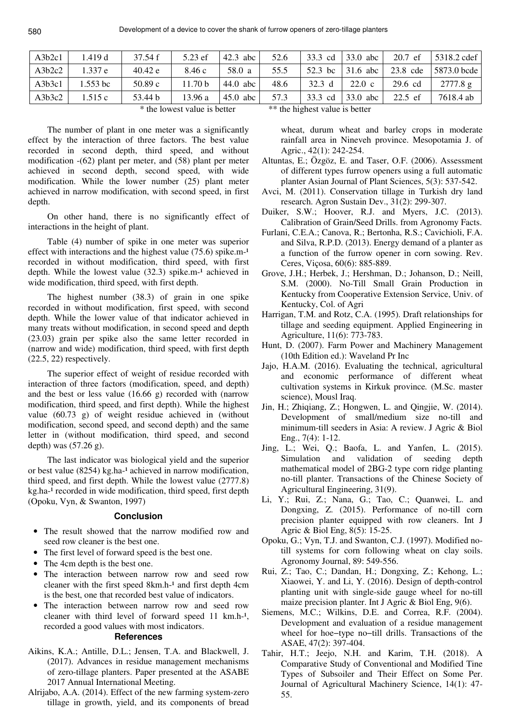| A3b2c1 | l.419 d  | 37.54 f | 5.23 ef            | $42.3$ abc | 52.6 | 33.3 cd   | 33.0 abc         | $20.7$ ef         | 5318.2 cdef |
|--------|----------|---------|--------------------|------------|------|-----------|------------------|-------------------|-------------|
| A3b2c2 | 1.337e   | 40.42 e | 8.46c              | 58.0 a     | 55.5 | 52.3 bc   | $\vert$ 31.6 abc | 23.8 cde          | 5873.0 bcde |
| A3b3c1 | 1.553 bc | 50.89c  | 11.70 <sub>b</sub> | $44.0$ abc | 48.6 | $32.3\ d$ | 22.0 c           | $29.6 \text{ cd}$ | 2777.8 g    |
| A3b3c2 | 1.515c   | 53.44 b | 13.96 a            | $45.0$ abc | 57.3 | 33.3 cd   | 33.0 abc         | $22.5$ ef         | 7618.4 ab   |

The number of plant in one meter was a significantly effect by the interaction of three factors. The best value recorded in second depth, third speed, and without modification -(62) plant per meter, and (58) plant per meter achieved in second depth, second speed, with wide modification. While the lower number (25) plant meter achieved in narrow modification, with second speed, in first depth.

On other hand, there is no significantly effect of interactions in the height of plant.

Table (4) number of spike in one meter was superior effect with interactions and the highest value  $(75.6)$  spike.m- $<sup>1</sup>$ </sup> recorded in without modification, third speed, with first depth. While the lowest value  $(32.3)$  spike.m-<sup>1</sup> achieved in wide modification, third speed, with first depth.

The highest number (38.3) of grain in one spike recorded in without modification, first speed, with second depth. While the lower value of that indicator achieved in many treats without modification, in second speed and depth (23.03) grain per spike also the same letter recorded in (narrow and wide) modification, third speed, with first depth (22.5, 22) respectively.

The superior effect of weight of residue recorded with interaction of three factors (modification, speed, and depth) and the best or less value (16.66 g) recorded with (narrow modification, third speed, and first depth). While the highest value (60.73 g) of weight residue achieved in (without modification, second speed, and second depth) and the same letter in (without modification, third speed, and second depth) was (57.26 g).

The last indicator was biological yield and the superior or best value  $(8254)$  kg.ha-<sup>1</sup> achieved in narrow modification, third speed, and first depth. While the lowest value (2777.8) kg.ha-<sup>1</sup> recorded in wide modification, third speed, first depth (Opoku, Vyn, & Swanton, 1997)

# **Conclusion**

- The result showed that the narrow modified row and seed row cleaner is the best one.
- The first level of forward speed is the best one.
- The 4cm depth is the best one.
- The interaction between narrow row and seed row cleaner with the first speed  $8km.h^{-1}$  and first depth  $4cm$ is the best, one that recorded best value of indicators.
- The interaction between narrow row and seed row cleaner with third level of forward speed 11 km.h- $\frac{1}{1}$ , recorded a good values with most indicators.

# **References**

- Aikins, K.A.; Antille, D.L.; Jensen, T.A. and Blackwell, J. (2017). Advances in residue management mechanisms of zero-tillage planters. Paper presented at the ASABE 2017 Annual International Meeting.
- Alrijabo, A.A. (2014). Effect of the new farming system-zero tillage in growth, yield, and its components of bread

\* the lowest value is better \*\* the highest value is better

wheat, durum wheat and barley crops in moderate rainfall area in Nineveh province. Mesopotamia J. of Agric., 42(1): 242-254.

- Altuntas, E.; Özgöz, E. and Taser, O.F. (2006). Assessment of different types furrow openers using a full automatic planter Asian Journal of Plant Sciences, 5(3): 537-542.
- Avci, M. (2011). Conservation tillage in Turkish dry land research. Agron Sustain Dev., 31(2): 299-307.
- Duiker, S.W.; Hoover, R.J. and Myers, J.C. (2013). Calibration of Grain/Seed Drills. from Agronomy Facts.
- Furlani, C.E.A.; Canova, R.; Bertonha, R.S.; Cavichioli, F.A. and Silva, R.P.D. (2013). Energy demand of a planter as a function of the furrow opener in corn sowing. Rev. Ceres, Viçosa, 60(6): 885-889.
- Grove, J.H.; Herbek, J.; Hershman, D.; Johanson, D.; Neill, S.M. (2000). No-Till Small Grain Production in Kentucky from Cooperative Extension Service, Univ. of Kentucky, Col. of Agri
- Harrigan, T.M. and Rotz, C.A. (1995). Draft relationships for tillage and seeding equipment. Applied Engineering in Agriculture, 11(6): 773-783.
- Hunt, D. (2007). Farm Power and Machinery Management (10th Edition ed.): Waveland Pr Inc
- Jajo, H.A.M. (2016). Evaluating the technical, agricultural and economic performance of different wheat cultivation systems in Kirkuk province*.* (M.Sc. master science), Mousl Iraq.
- Jin, H.; Zhiqiang, Z.; Hongwen, L. and Qingjie, W. (2014). Development of small/medium size no-till and minimum-till seeders in Asia: A review. J Agric & Biol Eng., 7(4): 1-12.
- Jing, L.; Wei, Q.; Baofa, L. and Yanfen, L. (2015). Simulation and validation of seeding depth mathematical model of 2BG-2 type corn ridge planting no-till planter. Transactions of the Chinese Society of Agricultural Engineering, 31(9).
- Li, Y.; Rui, Z.; Nana, G.; Tao, C.; Quanwei, L. and Dongxing, Z. (2015). Performance of no-till corn precision planter equipped with row cleaners. Int J Agric & Biol Eng, 8(5): 15-25.
- Opoku, G.; Vyn, T.J. and Swanton, C.J. (1997). Modified notill systems for corn following wheat on clay soils. Agronomy Journal, 89: 549-556.
- Rui, Z.; Tao, C.; Dandan, H.; Dongxing, Z.; Kehong, L.; Xiaowei, Y. and Li, Y. (2016). Design of depth-control planting unit with single-side gauge wheel for no-till maize precision planter. Int J Agric & Biol Eng, 9(6).
- Siemens, M.C.; Wilkins, D.E. and Correa, R.F. (2004). Development and evaluation of a residue management wheel for hoe−type no−till drills. Transactions of the ASAE, 47(2): 397-404.
- Tahir, H.T.; Jeejo, N.H. and Karim, T.H. (2018). A Comparative Study of Conventional and Modified Tine Types of Subsoiler and Their Effect on Some Per. Journal of Agricultural Machinery Science, 14(1): 47- 55.